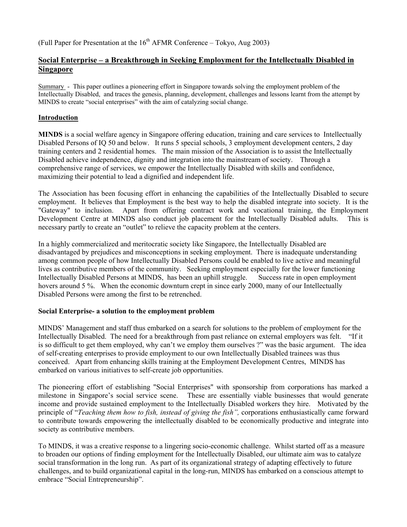(Full Paper for Presentation at the  $16<sup>th</sup>$  AFMR Conference – Tokyo, Aug 2003)

# **Social Enterprise – a Breakthrough in Seeking Employment for the Intellectually Disabled in Singapore**

Summary - This paper outlines a pioneering effort in Singapore towards solving the employment problem of the Intellectually Disabled, and traces the genesis, planning, development, challenges and lessons learnt from the attempt by MINDS to create "social enterprises" with the aim of catalyzing social change.

### **Introduction**

**MINDS** is a social welfare agency in Singapore offering education, training and care services to Intellectually Disabled Persons of IQ 50 and below. It runs 5 special schools, 3 employment development centers, 2 day training centers and 2 residential homes. The main mission of the Association is to assist the Intellectually Disabled achieve independence, dignity and integration into the mainstream of society. Through a comprehensive range of services, we empower the Intellectually Disabled with skills and confidence, maximizing their potential to lead a dignified and independent life.

The Association has been focusing effort in enhancing the capabilities of the Intellectually Disabled to secure employment. It believes that Employment is the best way to help the disabled integrate into society. It is the "Gateway" to inclusion. Apart from offering contract work and vocational training, the Employment Development Centre at MINDS also conduct job placement for the Intellectually Disabled adults. This is necessary partly to create an "outlet" to relieve the capacity problem at the centers.

In a highly commercialized and meritocratic society like Singapore, the Intellectually Disabled are disadvantaged by prejudices and misconceptions in seeking employment. There is inadequate understanding among common people of how Intellectually Disabled Persons could be enabled to live active and meaningful lives as contributive members of the community. Seeking employment especially for the lower functioning Intellectually Disabled Persons at MINDS, has been an uphill struggle. Success rate in open employment hovers around 5 %. When the economic downturn crept in since early 2000, many of our Intellectually Disabled Persons were among the first to be retrenched.

# **Social Enterprise- a solution to the employment problem**

MINDS' Management and staff thus embarked on a search for solutions to the problem of employment for the Intellectually Disabled. The need for a breakthrough from past reliance on external employers was felt. "If it is so difficult to get them employed, why can't we employ them ourselves ?" was the basic argument. The idea of self-creating enterprises to provide employment to our own Intellectually Disabled trainees was thus conceived. Apart from enhancing skills training at the Employment Development Centres, MINDS has embarked on various initiatives to self-create job opportunities.

The pioneering effort of establishing "Social Enterprises" with sponsorship from corporations has marked a milestone in Singapore's social service scene. These are essentially viable businesses that would generate income and provide sustained employment to the Intellectually Disabled workers they hire. Motivated by the principle of "*Teaching them how to fish, instead of giving the fish",* corporations enthusiastically came forward to contribute towards empowering the intellectually disabled to be economically productive and integrate into society as contributive members.

To MINDS, it was a creative response to a lingering socio-economic challenge. Whilst started off as a measure to broaden our options of finding employment for the Intellectually Disabled, our ultimate aim was to catalyze social transformation in the long run. As part of its organizational strategy of adapting effectively to future challenges, and to build organizational capital in the long-run, MINDS has embarked on a conscious attempt to embrace "Social Entrepreneurship".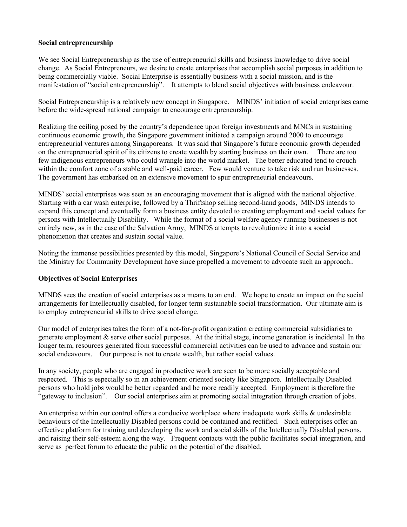### **Social entrepreneurship**

We see Social Entrepreneurship as the use of entrepreneurial skills and business knowledge to drive social change. As Social Entrepreneurs, we desire to create enterprises that accomplish social purposes in addition to being commercially viable. Social Enterprise is essentially business with a social mission, and is the manifestation of "social entrepreneurship". It attempts to blend social objectives with business endeavour.

Social Entrepreneurship is a relatively new concept in Singapore. MINDS' initiation of social enterprises came before the wide-spread national campaign to encourage entrepreneurship.

Realizing the ceiling posed by the country's dependence upon foreign investments and MNCs in sustaining continuous economic growth, the Singapore government initiated a campaign around 2000 to encourage entrepreneurial ventures among Singaporeans. It was said that Singapore's future economic growth depended on the entreprenuerial spirit of its citizens to create wealth by starting business on their own. There are too few indigenous entrepreneurs who could wrangle into the world market. The better educated tend to crouch within the comfort zone of a stable and well-paid career. Few would venture to take risk and run businesses. The government has embarked on an extensive movement to spur entrepreneurial endeavours.

MINDS' social enterprises was seen as an encouraging movement that is aligned with the national objective. Starting with a car wash enterprise, followed by a Thriftshop selling second-hand goods, MINDS intends to expand this concept and eventually form a business entity devoted to creating employment and social values for persons with Intellectually Disability. While the format of a social welfare agency running businesses is not entirely new, as in the case of the Salvation Army, MINDS attempts to revolutionize it into a social phenomenon that creates and sustain social value.

Noting the immense possibilities presented by this model, Singapore's National Council of Social Service and the Ministry for Community Development have since propelled a movement to advocate such an approach..

### **Objectives of Social Enterprises**

MINDS sees the creation of social enterprises as a means to an end. We hope to create an impact on the social arrangements for Intellectually disabled, for longer term sustainable social transformation. Our ultimate aim is to employ entrepreneurial skills to drive social change.

Our model of enterprises takes the form of a not-for-profit organization creating commercial subsidiaries to generate employment & serve other social purposes. At the initial stage, income generation is incidental. In the longer term, resources generated from successful commercial activities can be used to advance and sustain our social endeavours. Our purpose is not to create wealth, but rather social values.

In any society, people who are engaged in productive work are seen to be more socially acceptable and respected. This is especially so in an achievement oriented society like Singapore. Intellectually Disabled persons who hold jobs would be better regarded and be more readily accepted. Employment is therefore the "gateway to inclusion". Our social enterprises aim at promoting social integration through creation of jobs.

An enterprise within our control offers a conducive workplace where inadequate work skills  $\&$  undesirable behaviours of the Intellectually Disabled persons could be contained and rectified. Such enterprises offer an effective platform for training and developing the work and social skills of the Intellectually Disabled persons, and raising their self-esteem along the way. Frequent contacts with the public facilitates social integration, and serve as perfect forum to educate the public on the potential of the disabled.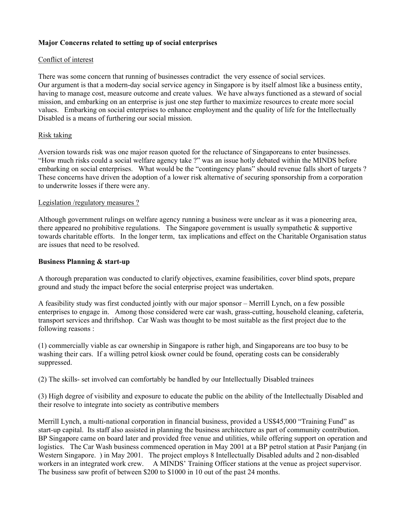### **Major Concerns related to setting up of social enterprises**

### Conflict of interest

There was some concern that running of businesses contradict the very essence of social services. Our argument is that a modern-day social service agency in Singapore is by itself almost like a business entity, having to manage cost, measure outcome and create values. We have always functioned as a steward of social mission, and embarking on an enterprise is just one step further to maximize resources to create more social values. Embarking on social enterprises to enhance employment and the quality of life for the Intellectually Disabled is a means of furthering our social mission.

### Risk taking

Aversion towards risk was one major reason quoted for the reluctance of Singaporeans to enter businesses. "How much risks could a social welfare agency take ?" was an issue hotly debated within the MINDS before embarking on social enterprises. What would be the "contingency plans" should revenue falls short of targets ? These concerns have driven the adoption of a lower risk alternative of securing sponsorship from a corporation to underwrite losses if there were any.

#### Legislation /regulatory measures ?

Although government rulings on welfare agency running a business were unclear as it was a pioneering area, there appeared no prohibitive regulations. The Singapore government is usually sympathetic  $\&$  supportive towards charitable efforts. In the longer term, tax implications and effect on the Charitable Organisation status are issues that need to be resolved.

#### **Business Planning & start-up**

A thorough preparation was conducted to clarify objectives, examine feasibilities, cover blind spots, prepare ground and study the impact before the social enterprise project was undertaken.

A feasibility study was first conducted jointly with our major sponsor – Merrill Lynch, on a few possible enterprises to engage in. Among those considered were car wash, grass-cutting, household cleaning, cafeteria, transport services and thriftshop. Car Wash was thought to be most suitable as the first project due to the following reasons :

(1) commercially viable as car ownership in Singapore is rather high, and Singaporeans are too busy to be washing their cars. If a willing petrol kiosk owner could be found, operating costs can be considerably suppressed.

(2) The skills- set involved can comfortably be handled by our Intellectually Disabled trainees

(3) High degree of visibility and exposure to educate the public on the ability of the Intellectually Disabled and their resolve to integrate into society as contributive members

Merrill Lynch, a multi-national corporation in financial business, provided a US\$45,000 "Training Fund" as start-up capital. Its staff also assisted in planning the business architecture as part of community contribution. BP Singapore came on board later and provided free venue and utilities, while offering support on operation and logistics. The Car Wash business commenced operation in May 2001 at a BP petrol station at Pasir Panjang (in Western Singapore. ) in May 2001. The project employs 8 Intellectually Disabled adults and 2 non-disabled workers in an integrated work crew. A MINDS' Training Officer stations at the venue as project supervisor. The business saw profit of between \$200 to \$1000 in 10 out of the past 24 months.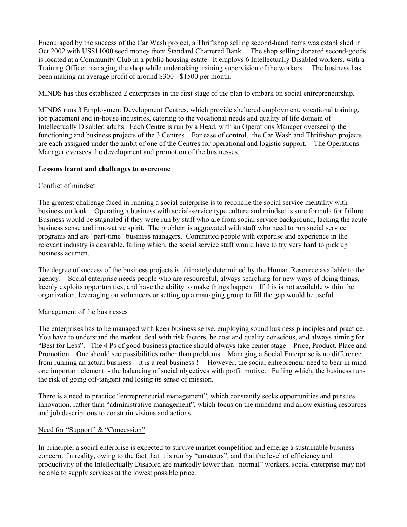Encouraged by the success of the Car Wash project, a Thriftshop selling second-hand items was established in Oct 2002 with US\$11000 seed money from Standard Chartered Bank. The shop selling donated second-goods is located at a Community Club in a public housing estate. It employs 6 Intellectually Disabled workers, with a Training Officer managing the shop while undertaking training supervision of the workers. The business has been making an average profit of around \$300 - \$1500 per month.

MINDS has thus established 2 enterprises in the first stage of the plan to embark on social entrepreneurship.

MINDS runs 3 Employment Development Centres, which provide sheltered employment, vocational training, job placement and in-house industries, catering to the vocational needs and quality of life domain of Intellectually Disabled adults. Each Centre is run by a Head, with an Operations Manager overseeing the functioning and business projects of the 3 Centres. For ease of control, the Car Wash and Thriftshop projects are each assigned under the ambit of one of the Centres for operational and logistic support. The Operations Manager oversees the development and promotion of the businesses.

### **Lessons learnt and challenges to overcome**

### Conflict of mindset

The greatest challenge faced in running a social enterprise is to reconcile the social service mentality with business outlook. Operating a business with social-service type culture and mindset is sure formula for failure. Business would be stagnated if they were run by staff who are from social service background, lacking the acute business sense and innovative spirit. The problem is aggravated with staff who need to run social service programs and are "part-time" business managers. Committed people with expertise and experience in the relevant industry is desirable, failing which, the social service staff would have to try very hard to pick up business acumen.

The degree of success of the business projects is ultimately determined by the Human Resource available to the agency. Social enterprise needs people who are resourceful, always searching for new ways of doing things, keenly exploits opportunities, and have the ability to make things happen. If this is not available within the organization, leveraging on volunteers or setting up a managing group to fill the gap would be useful.

### Management of the businesses

The enterprises has to be managed with keen business sense, employing sound business principles and practice. You have to understand the market, deal with risk factors, be cost and quality conscious, and always aiming for "Best for Less". The 4 Ps of good business practice should always take center stage – Price, Product, Place and Promotion. One should see possibilities rather than problems. Managing a Social Enterprise is no difference from running an actual business – it is a real business ! However, the social entrepreneur need to bear in mind one important element - the balancing of social objectives with profit motive. Failing which, the business runs the risk of going off-tangent and losing its sense of mission.

There is a need to practice "entrepreneurial management", which constantly seeks opportunities and pursues innovation, rather than "administrative management", which focus on the mundane and allow existing resources and job descriptions to constrain visions and actions.

### Need for "Support" & "Concession"

In principle, a social enterprise is expected to survive market competition and emerge a sustainable business concern. In reality, owing to the fact that it is run by "amateurs", and that the level of efficiency and productivity of the Intellectually Disabled are markedly lower than "normal" workers, social enterprise may not be able to supply services at the lowest possible price.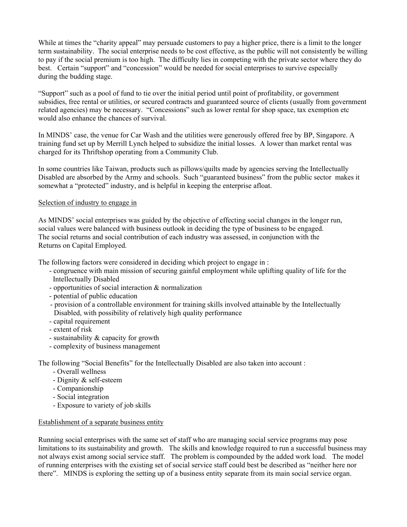While at times the "charity appeal" may persuade customers to pay a higher price, there is a limit to the longer term sustainability. The social enterprise needs to be cost effective, as the public will not consistently be willing to pay if the social premium is too high. The difficulty lies in competing with the private sector where they do best. Certain "support" and "concession" would be needed for social enterprises to survive especially during the budding stage.

"Support" such as a pool of fund to tie over the initial period until point of profitability, or government subsidies, free rental or utilities, or secured contracts and guaranteed source of clients (usually from government related agencies) may be necessary. "Concessions" such as lower rental for shop space, tax exemption etc would also enhance the chances of survival.

In MINDS' case, the venue for Car Wash and the utilities were generously offered free by BP, Singapore. A training fund set up by Merrill Lynch helped to subsidize the initial losses. A lower than market rental was charged for its Thriftshop operating from a Community Club.

In some countries like Taiwan, products such as pillows/quilts made by agencies serving the Intellectually Disabled are absorbed by the Army and schools. Such "guaranteed business" from the public sector makes it somewhat a "protected" industry, and is helpful in keeping the enterprise afloat.

### Selection of industry to engage in

As MINDS' social enterprises was guided by the objective of effecting social changes in the longer run, social values were balanced with business outlook in deciding the type of business to be engaged. The social returns and social contribution of each industry was assessed, in conjunction with the Returns on Capital Employed.

The following factors were considered in deciding which project to engage in :

- congruence with main mission of securing gainful employment while uplifting quality of life for the Intellectually Disabled
- opportunities of social interaction & normalization
- potential of public education
- provision of a controllable environment for training skills involved attainable by the Intellectually Disabled, with possibility of relatively high quality performance
- capital requirement
- extent of risk
- sustainability & capacity for growth
- complexity of business management

The following "Social Benefits" for the Intellectually Disabled are also taken into account :

- Overall wellness
- Dignity & self-esteem
- Companionship
- Social integration
- Exposure to variety of job skills

#### Establishment of a separate business entity

Running social enterprises with the same set of staff who are managing social service programs may pose limitations to its sustainability and growth. The skills and knowledge required to run a successful business may not always exist among social service staff. The problem is compounded by the added work load. The model of running enterprises with the existing set of social service staff could best be described as "neither here nor there". MINDS is exploring the setting up of a business entity separate from its main social service organ.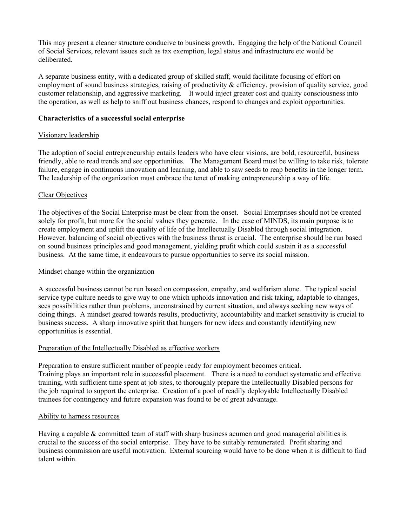This may present a cleaner structure conducive to business growth. Engaging the help of the National Council of Social Services, relevant issues such as tax exemption, legal status and infrastructure etc would be deliberated.

A separate business entity, with a dedicated group of skilled staff, would facilitate focusing of effort on employment of sound business strategies, raising of productivity & efficiency, provision of quality service, good customer relationship, and aggressive marketing. It would inject greater cost and quality consciousness into the operation, as well as help to sniff out business chances, respond to changes and exploit opportunities.

### **Characteristics of a successful social enterprise**

# Visionary leadership

The adoption of social entrepreneurship entails leaders who have clear visions, are bold, resourceful, business friendly, able to read trends and see opportunities. The Management Board must be willing to take risk, tolerate failure, engage in continuous innovation and learning, and able to saw seeds to reap benefits in the longer term. The leadership of the organization must embrace the tenet of making entrepreneurship a way of life.

### Clear Objectives

The objectives of the Social Enterprise must be clear from the onset. Social Enterprises should not be created solely for profit, but more for the social values they generate. In the case of MINDS, its main purpose is to create employment and uplift the quality of life of the Intellectually Disabled through social integration. However, balancing of social objectives with the business thrust is crucial. The enterprise should be run based on sound business principles and good management, yielding profit which could sustain it as a successful business. At the same time, it endeavours to pursue opportunities to serve its social mission.

### Mindset change within the organization

A successful business cannot be run based on compassion, empathy, and welfarism alone. The typical social service type culture needs to give way to one which upholds innovation and risk taking, adaptable to changes, sees possibilities rather than problems, unconstrained by current situation, and always seeking new ways of doing things. A mindset geared towards results, productivity, accountability and market sensitivity is crucial to business success. A sharp innovative spirit that hungers for new ideas and constantly identifying new opportunities is essential.

# Preparation of the Intellectually Disabled as effective workers

Preparation to ensure sufficient number of people ready for employment becomes critical. Training plays an important role in successful placement. There is a need to conduct systematic and effective training, with sufficient time spent at job sites, to thoroughly prepare the Intellectually Disabled persons for the job required to support the enterprise. Creation of a pool of readily deployable Intellectually Disabled trainees for contingency and future expansion was found to be of great advantage.

### Ability to harness resources

Having a capable & committed team of staff with sharp business acumen and good managerial abilities is crucial to the success of the social enterprise. They have to be suitably remunerated. Profit sharing and business commission are useful motivation. External sourcing would have to be done when it is difficult to find talent within.